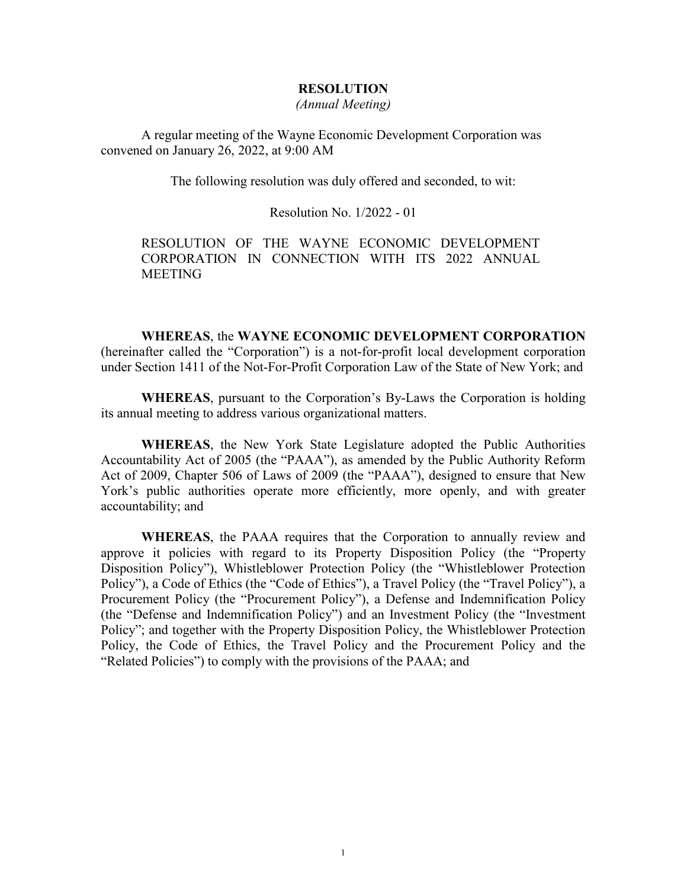#### **RESOLUTION**

*(Annual Meeting)*

A regular meeting of the Wayne Economic Development Corporation was convened on January 26, 2022, at 9:00 AM

The following resolution was duly offered and seconded, to wit:

Resolution No. 1/2022 - 01

RESOLUTION OF THE WAYNE ECONOMIC DEVELOPMENT CORPORATION IN CONNECTION WITH ITS 2022 ANNUAL **MEETING** 

**WHEREAS**, the **WAYNE ECONOMIC DEVELOPMENT CORPORATION**

(hereinafter called the "Corporation") is a not-for-profit local development corporation under Section 1411 of the Not-For-Profit Corporation Law of the State of New York; and

**WHEREAS**, pursuant to the Corporation's By-Laws the Corporation is holding its annual meeting to address various organizational matters.

**WHEREAS**, the New York State Legislature adopted the Public Authorities Accountability Act of 2005 (the "PAAA"), as amended by the Public Authority Reform Act of 2009, Chapter 506 of Laws of 2009 (the "PAAA"), designed to ensure that New York's public authorities operate more efficiently, more openly, and with greater accountability; and

**WHEREAS**, the PAAA requires that the Corporation to annually review and approve it policies with regard to its Property Disposition Policy (the "Property Disposition Policy"), Whistleblower Protection Policy (the "Whistleblower Protection Policy"), a Code of Ethics (the "Code of Ethics"), a Travel Policy (the "Travel Policy"), a Procurement Policy (the "Procurement Policy"), a Defense and Indemnification Policy (the "Defense and Indemnification Policy") and an Investment Policy (the "Investment Policy"; and together with the Property Disposition Policy, the Whistleblower Protection Policy, the Code of Ethics, the Travel Policy and the Procurement Policy and the "Related Policies") to comply with the provisions of the PAAA; and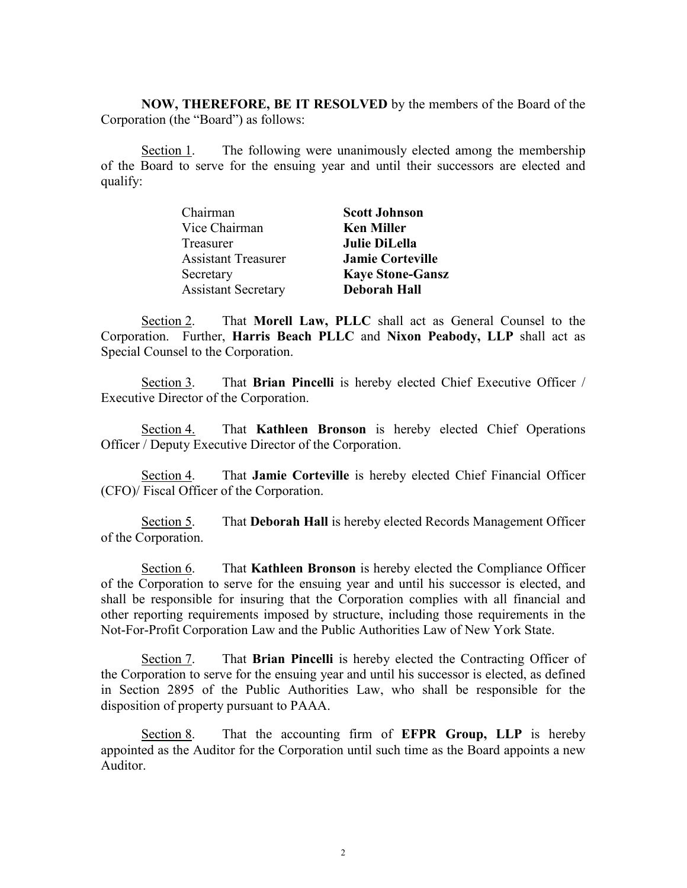**NOW, THEREFORE, BE IT RESOLVED** by the members of the Board of the Corporation (the "Board") as follows:

Section 1. The following were unanimously elected among the membership of the Board to serve for the ensuing year and until their successors are elected and qualify:

| Chairman                   | <b>Scott Johnson</b>    |
|----------------------------|-------------------------|
| Vice Chairman              | <b>Ken Miller</b>       |
| Treasurer                  | <b>Julie DiLella</b>    |
| <b>Assistant Treasurer</b> | <b>Jamie Corteville</b> |
| Secretary                  | <b>Kaye Stone-Gansz</b> |
| <b>Assistant Secretary</b> | <b>Deborah Hall</b>     |

Section 2. That **Morell Law, PLLC** shall act as General Counsel to the Corporation. Further, **Harris Beach PLLC** and **Nixon Peabody, LLP** shall act as Special Counsel to the Corporation.

Section 3. That **Brian Pincelli** is hereby elected Chief Executive Officer / Executive Director of the Corporation.

Section 4. That **Kathleen Bronson** is hereby elected Chief Operations Officer / Deputy Executive Director of the Corporation.

Section 4. That **Jamie Corteville** is hereby elected Chief Financial Officer (CFO)/ Fiscal Officer of the Corporation.

Section 5. That **Deborah Hall** is hereby elected Records Management Officer of the Corporation.

Section 6. That **Kathleen Bronson** is hereby elected the Compliance Officer of the Corporation to serve for the ensuing year and until his successor is elected, and shall be responsible for insuring that the Corporation complies with all financial and other reporting requirements imposed by structure, including those requirements in the Not-For-Profit Corporation Law and the Public Authorities Law of New York State.

Section 7. That **Brian Pincelli** is hereby elected the Contracting Officer of the Corporation to serve for the ensuing year and until his successor is elected, as defined in Section 2895 of the Public Authorities Law, who shall be responsible for the disposition of property pursuant to PAAA.

Section 8. That the accounting firm of **EFPR Group, LLP** is hereby appointed as the Auditor for the Corporation until such time as the Board appoints a new Auditor.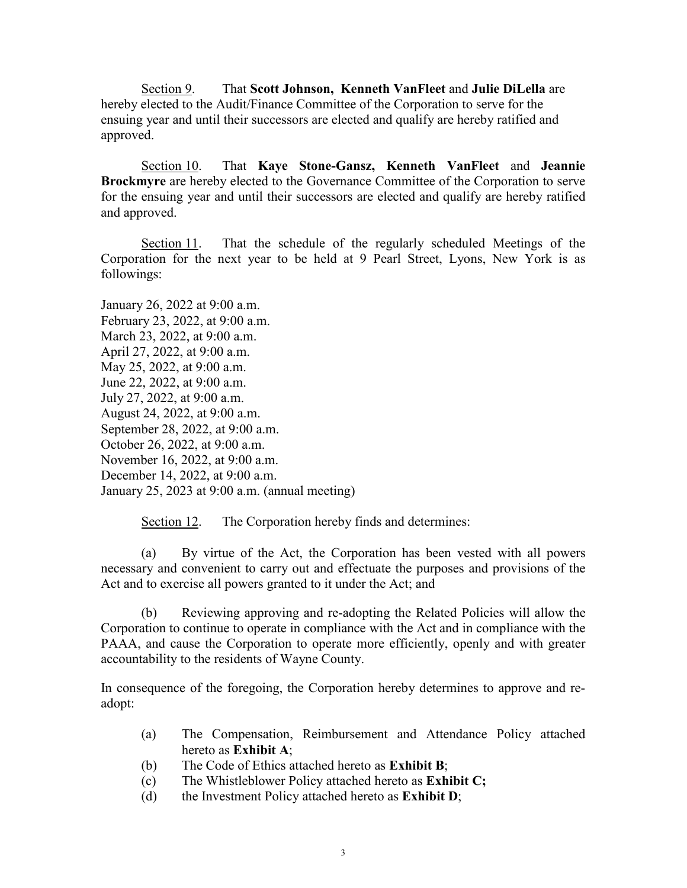Section 9. That **Scott Johnson, Kenneth VanFleet** and **Julie DiLella** are hereby elected to the Audit/Finance Committee of the Corporation to serve for the ensuing year and until their successors are elected and qualify are hereby ratified and approved.

Section 10. That **Kaye Stone-Gansz, Kenneth VanFleet** and **Jeannie Brockmyre** are hereby elected to the Governance Committee of the Corporation to serve for the ensuing year and until their successors are elected and qualify are hereby ratified and approved.

Section 11. That the schedule of the regularly scheduled Meetings of the Corporation for the next year to be held at 9 Pearl Street, Lyons, New York is as followings:

January 26, 2022 at 9:00 a.m. February 23, 2022, at 9:00 a.m. March 23, 2022, at 9:00 a.m. April 27, 2022, at 9:00 a.m. May 25, 2022, at 9:00 a.m. June 22, 2022, at 9:00 a.m. July 27, 2022, at 9:00 a.m. August 24, 2022, at 9:00 a.m. September 28, 2022, at 9:00 a.m. October 26, 2022, at 9:00 a.m. November 16, 2022, at 9:00 a.m. December 14, 2022, at 9:00 a.m. January 25, 2023 at 9:00 a.m. (annual meeting)

Section 12. The Corporation hereby finds and determines:

(a) By virtue of the Act, the Corporation has been vested with all powers necessary and convenient to carry out and effectuate the purposes and provisions of the Act and to exercise all powers granted to it under the Act; and

(b) Reviewing approving and re-adopting the Related Policies will allow the Corporation to continue to operate in compliance with the Act and in compliance with the PAAA, and cause the Corporation to operate more efficiently, openly and with greater accountability to the residents of Wayne County.

In consequence of the foregoing, the Corporation hereby determines to approve and readopt:

- (a) The Compensation, Reimbursement and Attendance Policy attached hereto as **Exhibit A**;
- (b) The Code of Ethics attached hereto as **Exhibit B**;
- (c) The Whistleblower Policy attached hereto as **Exhibit C;**
- (d) the Investment Policy attached hereto as **Exhibit D**;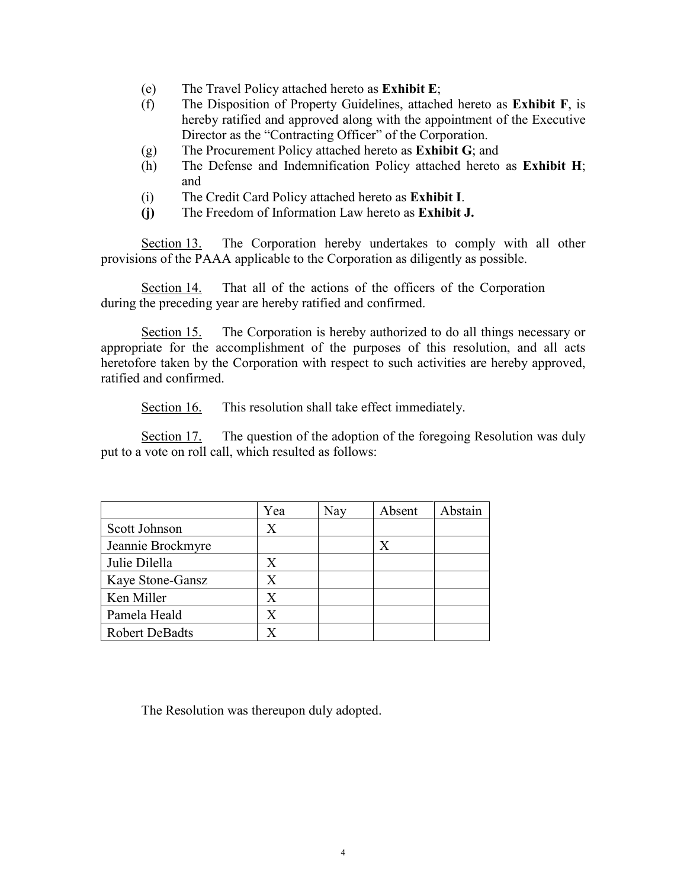- (e) The Travel Policy attached hereto as **Exhibit E**;
- (f) The Disposition of Property Guidelines, attached hereto as **Exhibit F**, is hereby ratified and approved along with the appointment of the Executive Director as the "Contracting Officer" of the Corporation.
- (g) The Procurement Policy attached hereto as **Exhibit G**; and
- (h) The Defense and Indemnification Policy attached hereto as **Exhibit H**; and
- (i) The Credit Card Policy attached hereto as **Exhibit I**.
- **(j)** The Freedom of Information Law hereto as **Exhibit J.**

Section 13. The Corporation hereby undertakes to comply with all other provisions of the PAAA applicable to the Corporation as diligently as possible.

Section 14. That all of the actions of the officers of the Corporation during the preceding year are hereby ratified and confirmed.

Section 15. The Corporation is hereby authorized to do all things necessary or appropriate for the accomplishment of the purposes of this resolution, and all acts heretofore taken by the Corporation with respect to such activities are hereby approved, ratified and confirmed.

Section 16. This resolution shall take effect immediately.

Section 17. The question of the adoption of the foregoing Resolution was duly put to a vote on roll call, which resulted as follows:

|                       | Yea | Nay | Absent | Abstain |
|-----------------------|-----|-----|--------|---------|
| Scott Johnson         | X   |     |        |         |
| Jeannie Brockmyre     |     |     | Х      |         |
| Julie Dilella         | X   |     |        |         |
| Kaye Stone-Gansz      | X   |     |        |         |
| Ken Miller            | Х   |     |        |         |
| Pamela Heald          | X   |     |        |         |
| <b>Robert DeBadts</b> |     |     |        |         |

The Resolution was thereupon duly adopted.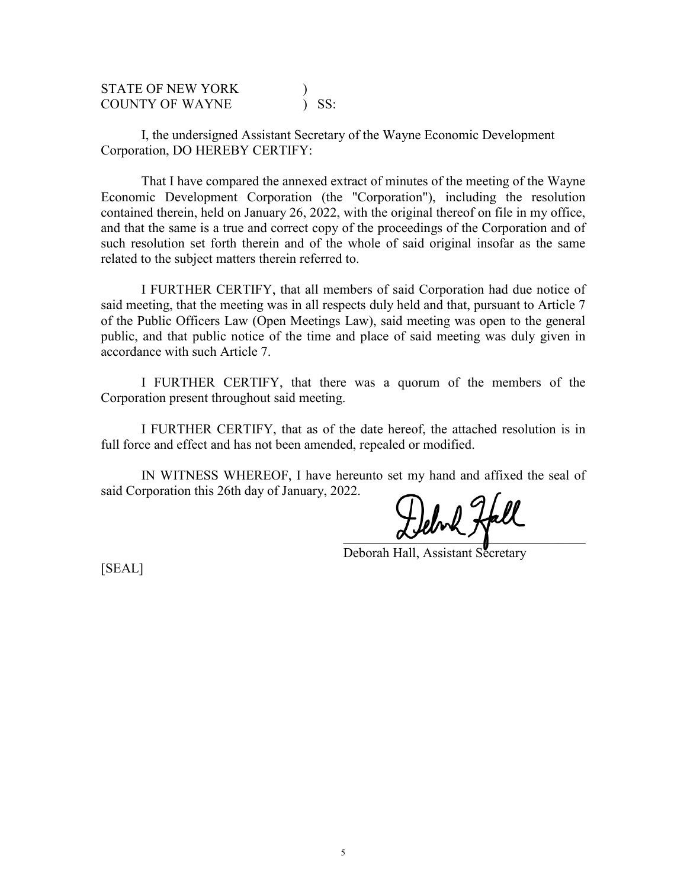| <b>STATE OF NEW YORK</b> |         |
|--------------------------|---------|
| <b>COUNTY OF WAYNE</b>   | $)$ SS: |

I, the undersigned Assistant Secretary of the Wayne Economic Development Corporation, DO HEREBY CERTIFY:

That I have compared the annexed extract of minutes of the meeting of the Wayne Economic Development Corporation (the "Corporation"), including the resolution contained therein, held on January 26, 2022, with the original thereof on file in my office, and that the same is a true and correct copy of the proceedings of the Corporation and of such resolution set forth therein and of the whole of said original insofar as the same related to the subject matters therein referred to.

I FURTHER CERTIFY, that all members of said Corporation had due notice of said meeting, that the meeting was in all respects duly held and that, pursuant to Article 7 of the Public Officers Law (Open Meetings Law), said meeting was open to the general public, and that public notice of the time and place of said meeting was duly given in accordance with such Article 7.

I FURTHER CERTIFY, that there was a quorum of the members of the Corporation present throughout said meeting.

I FURTHER CERTIFY, that as of the date hereof, the attached resolution is in full force and effect and has not been amended, repealed or modified.

IN WITNESS WHEREOF, I have hereunto set my hand and affixed the seal of said Corporation this 26th day of January, 2022.

Jebra Hall

Deborah Hall, Assistant Secretary

[SEAL]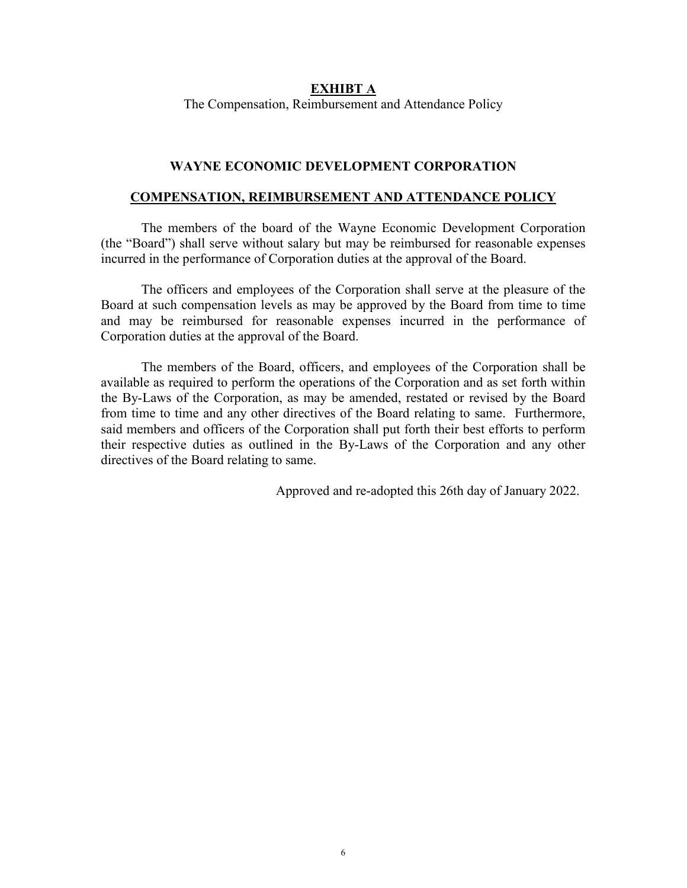#### **EXHIBT A**

The Compensation, Reimbursement and Attendance Policy

### **WAYNE ECONOMIC DEVELOPMENT CORPORATION**

#### **COMPENSATION, REIMBURSEMENT AND ATTENDANCE POLICY**

The members of the board of the Wayne Economic Development Corporation (the "Board") shall serve without salary but may be reimbursed for reasonable expenses incurred in the performance of Corporation duties at the approval of the Board.

The officers and employees of the Corporation shall serve at the pleasure of the Board at such compensation levels as may be approved by the Board from time to time and may be reimbursed for reasonable expenses incurred in the performance of Corporation duties at the approval of the Board.

The members of the Board, officers, and employees of the Corporation shall be available as required to perform the operations of the Corporation and as set forth within the By-Laws of the Corporation, as may be amended, restated or revised by the Board from time to time and any other directives of the Board relating to same. Furthermore, said members and officers of the Corporation shall put forth their best efforts to perform their respective duties as outlined in the By-Laws of the Corporation and any other directives of the Board relating to same.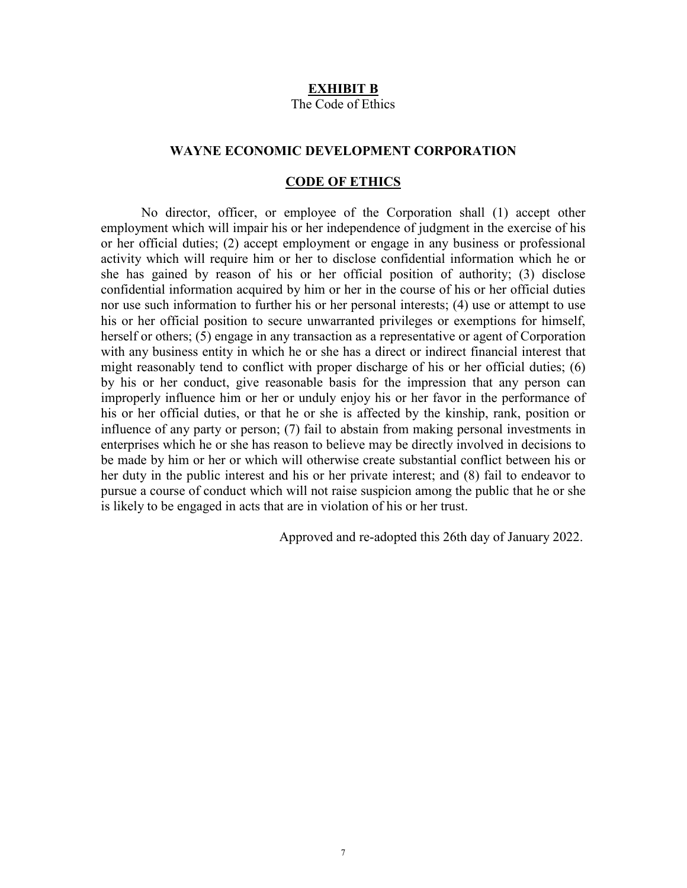#### **EXHIBIT B**

The Code of Ethics

## **WAYNE ECONOMIC DEVELOPMENT CORPORATION**

#### **CODE OF ETHICS**

No director, officer, or employee of the Corporation shall (1) accept other employment which will impair his or her independence of judgment in the exercise of his or her official duties; (2) accept employment or engage in any business or professional activity which will require him or her to disclose confidential information which he or she has gained by reason of his or her official position of authority; (3) disclose confidential information acquired by him or her in the course of his or her official duties nor use such information to further his or her personal interests; (4) use or attempt to use his or her official position to secure unwarranted privileges or exemptions for himself, herself or others; (5) engage in any transaction as a representative or agent of Corporation with any business entity in which he or she has a direct or indirect financial interest that might reasonably tend to conflict with proper discharge of his or her official duties; (6) by his or her conduct, give reasonable basis for the impression that any person can improperly influence him or her or unduly enjoy his or her favor in the performance of his or her official duties, or that he or she is affected by the kinship, rank, position or influence of any party or person; (7) fail to abstain from making personal investments in enterprises which he or she has reason to believe may be directly involved in decisions to be made by him or her or which will otherwise create substantial conflict between his or her duty in the public interest and his or her private interest; and (8) fail to endeavor to pursue a course of conduct which will not raise suspicion among the public that he or she is likely to be engaged in acts that are in violation of his or her trust.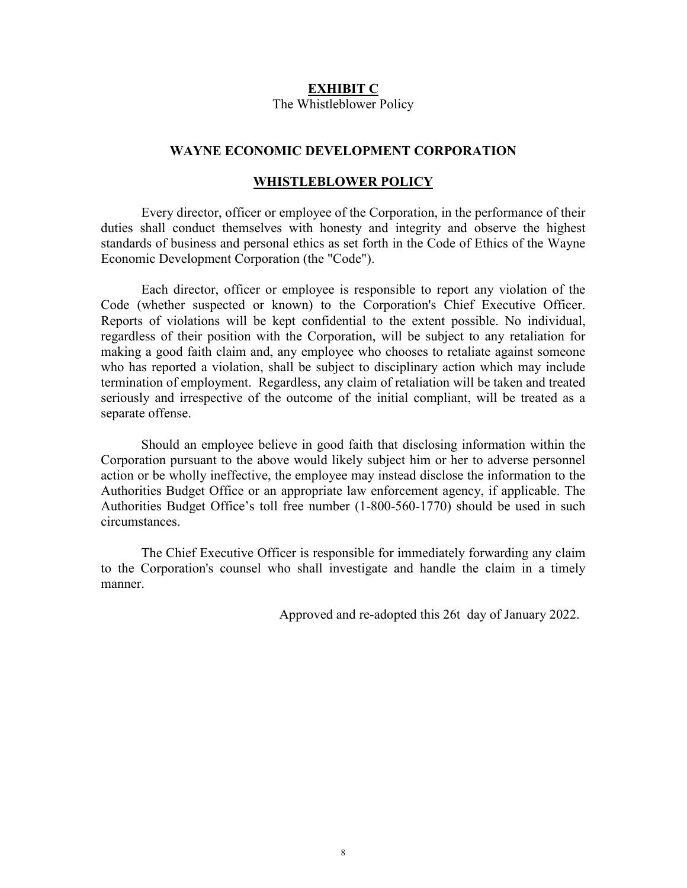#### **EXHIBIT C**

The Whistleblower Policy

#### **WAYNE ECONOMIC DEVELOPMENT CORPORATION**

#### **WHISTLEBLOWER POLICY**

Every director, officer or employee of the Corporation, in the performance of their duties shall conduct themselves with honesty and integrity and observe the highest standards of business and personal ethics as set forth in the Code of Ethics of the Wayne Economic Development Corporation (the "Code").

Each director, officer or employee is responsible to report any violation of the Code (whether suspected or known) to the Corporation's Chief Executive Officer. Reports of violations will be kept confidential to the extent possible. No individual, regardless of their position with the Corporation, will be subject to any retaliation for making a good faith claim and, any employee who chooses to retaliate against someone who has reported a violation, shall be subject to disciplinary action which may include termination of employment. Regardless, any claim of retaliation will be taken and treated seriously and irrespective of the outcome of the initial compliant, will be treated as a separate offense.

Should an employee believe in good faith that disclosing information within the Corporation pursuant to the above would likely subject him or her to adverse personnel action or be wholly ineffective, the employee may instead disclose the information to the Authorities Budget Office or an appropriate law enforcement agency, if applicable. The Authorities Budget Office's toll free number (1-800-560-1770) should be used in such circumstances.

The Chief Executive Officer is responsible for immediately forwarding any claim to the Corporation's counsel who shall investigate and handle the claim in a timely manner.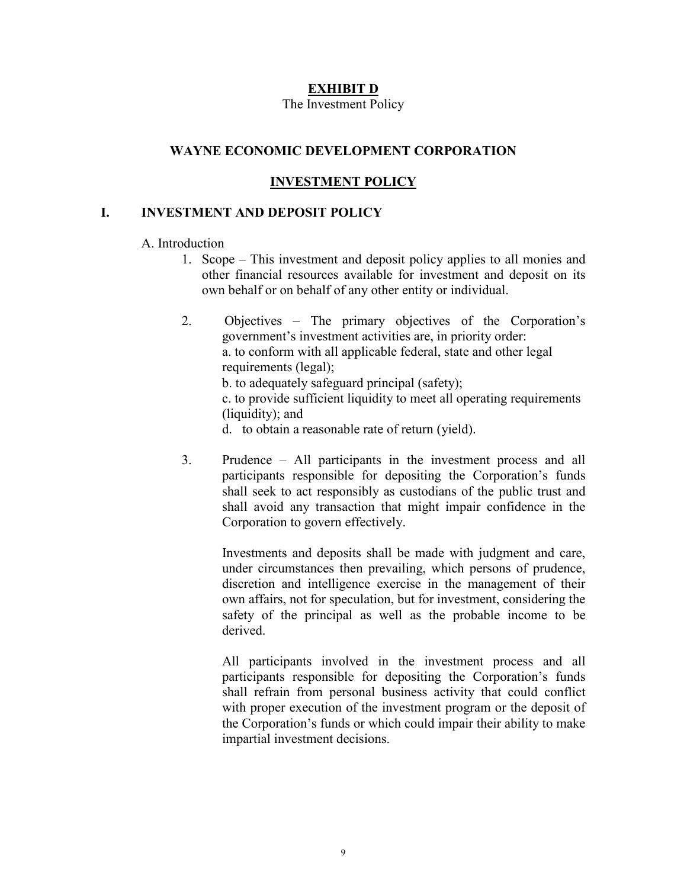# **EXHIBIT D**

#### The Investment Policy

# **WAYNE ECONOMIC DEVELOPMENT CORPORATION**

# **INVESTMENT POLICY**

# **I. INVESTMENT AND DEPOSIT POLICY**

### A. Introduction

- 1. Scope This investment and deposit policy applies to all monies and other financial resources available for investment and deposit on its own behalf or on behalf of any other entity or individual.
- 2. Objectives The primary objectives of the Corporation's government's investment activities are, in priority order: a. to conform with all applicable federal, state and other legal requirements (legal); b. to adequately safeguard principal (safety); c. to provide sufficient liquidity to meet all operating requirements (liquidity); and d. to obtain a reasonable rate of return (yield).
- 3. Prudence All participants in the investment process and all participants responsible for depositing the Corporation's funds shall seek to act responsibly as custodians of the public trust and shall avoid any transaction that might impair confidence in the Corporation to govern effectively.

Investments and deposits shall be made with judgment and care, under circumstances then prevailing, which persons of prudence, discretion and intelligence exercise in the management of their own affairs, not for speculation, but for investment, considering the safety of the principal as well as the probable income to be derived.

All participants involved in the investment process and all participants responsible for depositing the Corporation's funds shall refrain from personal business activity that could conflict with proper execution of the investment program or the deposit of the Corporation's funds or which could impair their ability to make impartial investment decisions.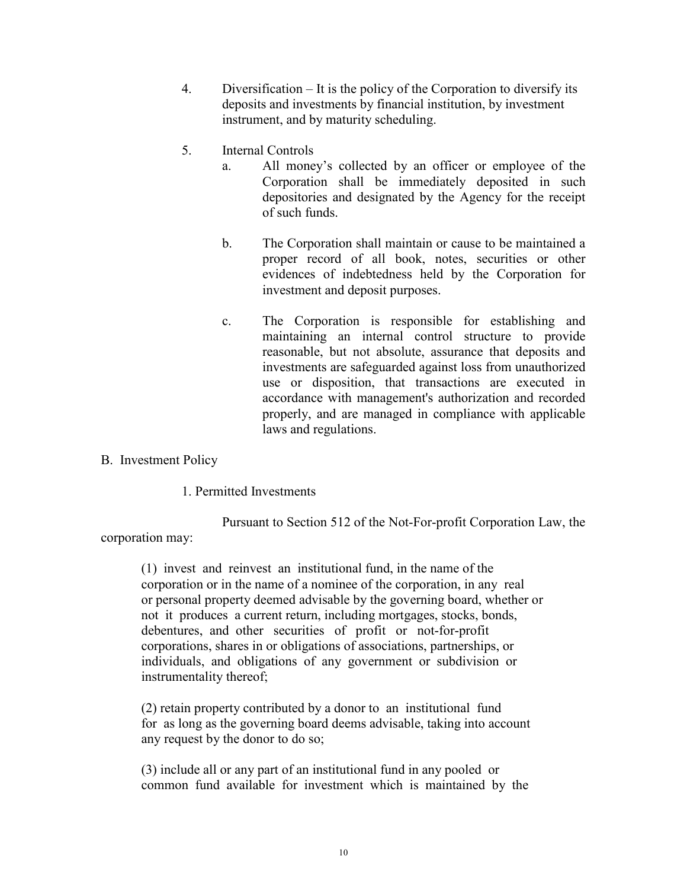- 4. Diversification It is the policy of the Corporation to diversify its deposits and investments by financial institution, by investment instrument, and by maturity scheduling.
- 5. Internal Controls
	- a. All money's collected by an officer or employee of the Corporation shall be immediately deposited in such depositories and designated by the Agency for the receipt of such funds.
	- b. The Corporation shall maintain or cause to be maintained a proper record of all book, notes, securities or other evidences of indebtedness held by the Corporation for investment and deposit purposes.
	- c. The Corporation is responsible for establishing and maintaining an internal control structure to provide reasonable, but not absolute, assurance that deposits and investments are safeguarded against loss from unauthorized use or disposition, that transactions are executed in accordance with management's authorization and recorded properly, and are managed in compliance with applicable laws and regulations.
- B. Investment Policy

1. Permitted Investments

Pursuant to Section 512 of the Not-For-profit Corporation Law, the

corporation may:

(1) invest and reinvest an institutional fund, in the name of the corporation or in the name of a nominee of the corporation, in any real or personal property deemed advisable by the governing board, whether or not it produces a current return, including mortgages, stocks, bonds, debentures, and other securities of profit or not-for-profit corporations, shares in or obligations of associations, partnerships, or individuals, and obligations of any government or subdivision or instrumentality thereof;

(2) retain property contributed by a donor to an institutional fund for as long as the governing board deems advisable, taking into account any request by the donor to do so;

(3) include all or any part of an institutional fund in any pooled or common fund available for investment which is maintained by the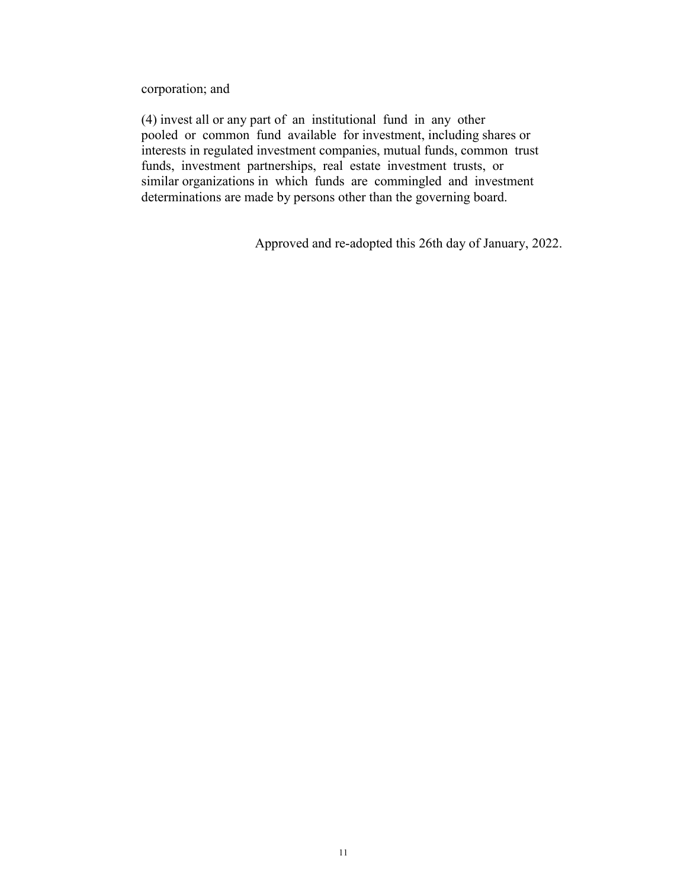corporation; and

(4) invest all or any part of an institutional fund in any other pooled or common fund available for investment, including shares or interests in regulated investment companies, mutual funds, common trust funds, investment partnerships, real estate investment trusts, or similar organizations in which funds are commingled and investment determinations are made by persons other than the governing board.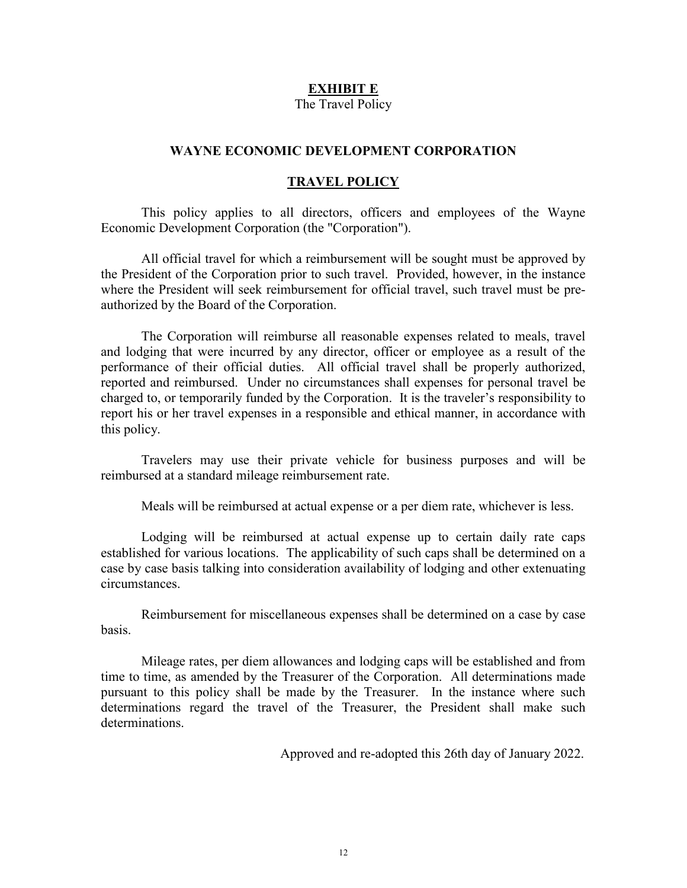#### **EXHIBIT E**

The Travel Policy

#### **WAYNE ECONOMIC DEVELOPMENT CORPORATION**

#### **TRAVEL POLICY**

This policy applies to all directors, officers and employees of the Wayne Economic Development Corporation (the "Corporation").

All official travel for which a reimbursement will be sought must be approved by the President of the Corporation prior to such travel. Provided, however, in the instance where the President will seek reimbursement for official travel, such travel must be preauthorized by the Board of the Corporation.

The Corporation will reimburse all reasonable expenses related to meals, travel and lodging that were incurred by any director, officer or employee as a result of the performance of their official duties. All official travel shall be properly authorized, reported and reimbursed. Under no circumstances shall expenses for personal travel be charged to, or temporarily funded by the Corporation. It is the traveler's responsibility to report his or her travel expenses in a responsible and ethical manner, in accordance with this policy.

Travelers may use their private vehicle for business purposes and will be reimbursed at a standard mileage reimbursement rate.

Meals will be reimbursed at actual expense or a per diem rate, whichever is less.

Lodging will be reimbursed at actual expense up to certain daily rate caps established for various locations. The applicability of such caps shall be determined on a case by case basis talking into consideration availability of lodging and other extenuating circumstances.

Reimbursement for miscellaneous expenses shall be determined on a case by case basis.

Mileage rates, per diem allowances and lodging caps will be established and from time to time, as amended by the Treasurer of the Corporation. All determinations made pursuant to this policy shall be made by the Treasurer. In the instance where such determinations regard the travel of the Treasurer, the President shall make such determinations.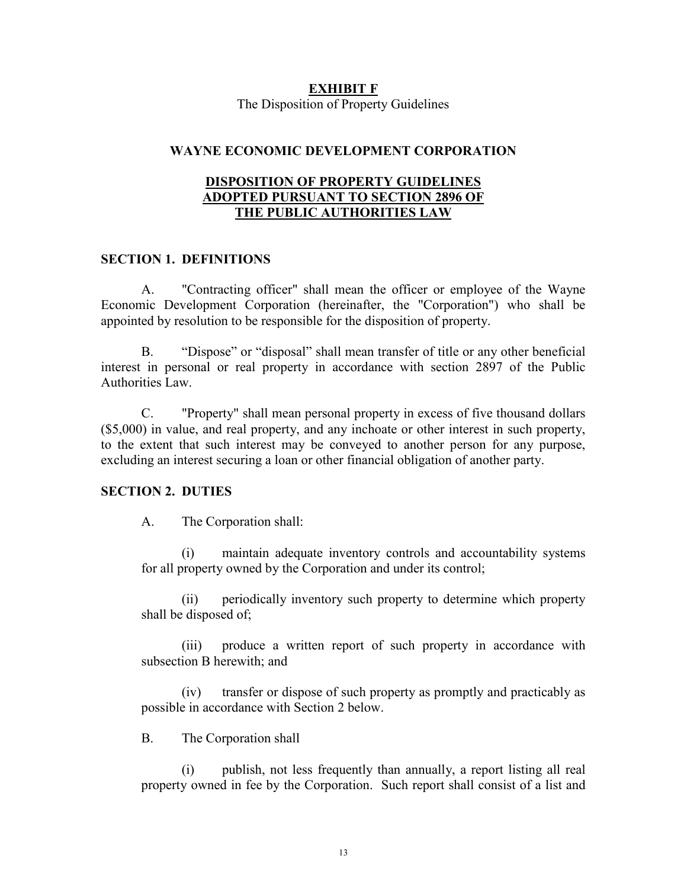#### **EXHIBIT F** The Disposition of Property Guidelines

## **WAYNE ECONOMIC DEVELOPMENT CORPORATION**

## **DISPOSITION OF PROPERTY GUIDELINES ADOPTED PURSUANT TO SECTION 2896 OF THE PUBLIC AUTHORITIES LAW**

## **SECTION 1. DEFINITIONS**

A. "Contracting officer" shall mean the officer or employee of the Wayne Economic Development Corporation (hereinafter, the "Corporation") who shall be appointed by resolution to be responsible for the disposition of property.

B. "Dispose" or "disposal" shall mean transfer of title or any other beneficial interest in personal or real property in accordance with section 2897 of the Public Authorities Law.

C. "Property" shall mean personal property in excess of five thousand dollars (\$5,000) in value, and real property, and any inchoate or other interest in such property, to the extent that such interest may be conveyed to another person for any purpose, excluding an interest securing a loan or other financial obligation of another party.

#### **SECTION 2. DUTIES**

A. The Corporation shall:

(i) maintain adequate inventory controls and accountability systems for all property owned by the Corporation and under its control;

(ii) periodically inventory such property to determine which property shall be disposed of;

(iii) produce a written report of such property in accordance with subsection B herewith; and

(iv) transfer or dispose of such property as promptly and practicably as possible in accordance with Section 2 below.

B. The Corporation shall

(i) publish, not less frequently than annually, a report listing all real property owned in fee by the Corporation. Such report shall consist of a list and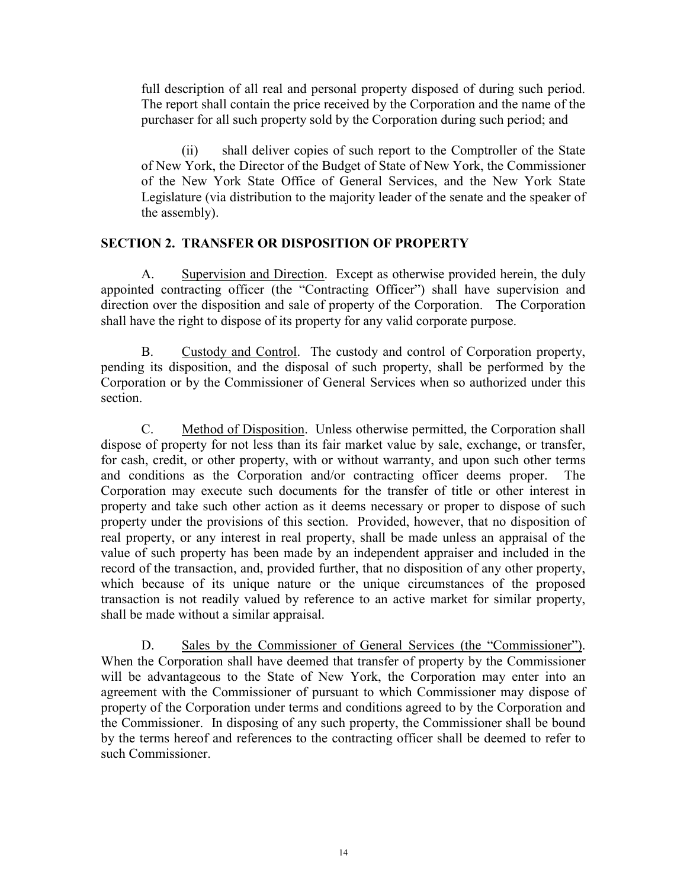full description of all real and personal property disposed of during such period. The report shall contain the price received by the Corporation and the name of the purchaser for all such property sold by the Corporation during such period; and

(ii) shall deliver copies of such report to the Comptroller of the State of New York, the Director of the Budget of State of New York, the Commissioner of the New York State Office of General Services, and the New York State Legislature (via distribution to the majority leader of the senate and the speaker of the assembly).

# **SECTION 2. TRANSFER OR DISPOSITION OF PROPERTY**

A. Supervision and Direction. Except as otherwise provided herein, the duly appointed contracting officer (the "Contracting Officer") shall have supervision and direction over the disposition and sale of property of the Corporation. The Corporation shall have the right to dispose of its property for any valid corporate purpose.

B. Custody and Control. The custody and control of Corporation property, pending its disposition, and the disposal of such property, shall be performed by the Corporation or by the Commissioner of General Services when so authorized under this section.

C. Method of Disposition. Unless otherwise permitted, the Corporation shall dispose of property for not less than its fair market value by sale, exchange, or transfer, for cash, credit, or other property, with or without warranty, and upon such other terms and conditions as the Corporation and/or contracting officer deems proper. The Corporation may execute such documents for the transfer of title or other interest in property and take such other action as it deems necessary or proper to dispose of such property under the provisions of this section. Provided, however, that no disposition of real property, or any interest in real property, shall be made unless an appraisal of the value of such property has been made by an independent appraiser and included in the record of the transaction, and, provided further, that no disposition of any other property, which because of its unique nature or the unique circumstances of the proposed transaction is not readily valued by reference to an active market for similar property, shall be made without a similar appraisal.

D. Sales by the Commissioner of General Services (the "Commissioner"). When the Corporation shall have deemed that transfer of property by the Commissioner will be advantageous to the State of New York, the Corporation may enter into an agreement with the Commissioner of pursuant to which Commissioner may dispose of property of the Corporation under terms and conditions agreed to by the Corporation and the Commissioner. In disposing of any such property, the Commissioner shall be bound by the terms hereof and references to the contracting officer shall be deemed to refer to such Commissioner.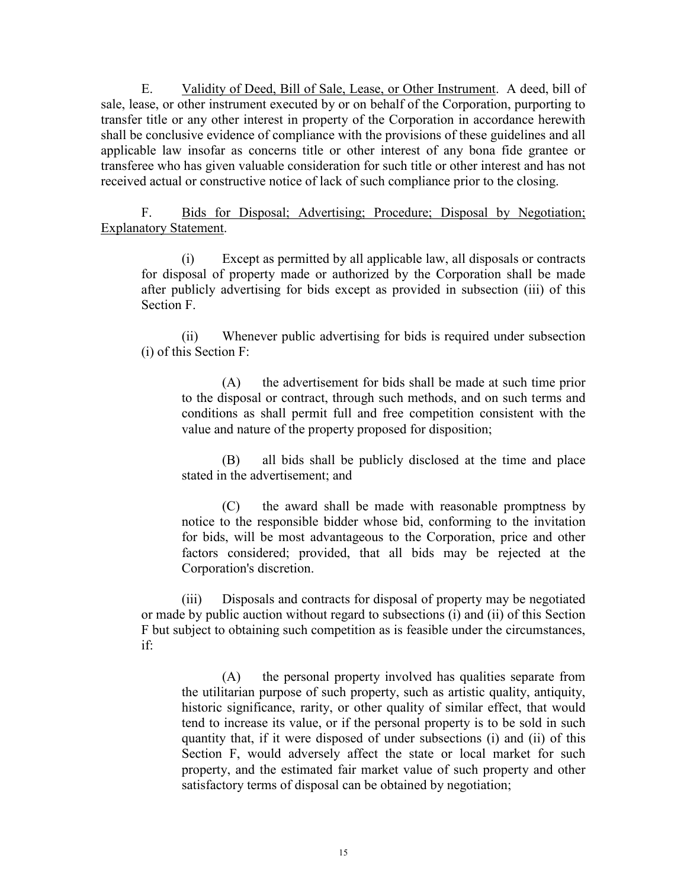E. Validity of Deed, Bill of Sale, Lease, or Other Instrument. A deed, bill of sale, lease, or other instrument executed by or on behalf of the Corporation, purporting to transfer title or any other interest in property of the Corporation in accordance herewith shall be conclusive evidence of compliance with the provisions of these guidelines and all applicable law insofar as concerns title or other interest of any bona fide grantee or transferee who has given valuable consideration for such title or other interest and has not received actual or constructive notice of lack of such compliance prior to the closing.

F. Bids for Disposal; Advertising; Procedure; Disposal by Negotiation; Explanatory Statement.

(i) Except as permitted by all applicable law, all disposals or contracts for disposal of property made or authorized by the Corporation shall be made after publicly advertising for bids except as provided in subsection (iii) of this Section F.

(ii) Whenever public advertising for bids is required under subsection (i) of this Section F:

(A) the advertisement for bids shall be made at such time prior to the disposal or contract, through such methods, and on such terms and conditions as shall permit full and free competition consistent with the value and nature of the property proposed for disposition;

(B) all bids shall be publicly disclosed at the time and place stated in the advertisement; and

(C) the award shall be made with reasonable promptness by notice to the responsible bidder whose bid, conforming to the invitation for bids, will be most advantageous to the Corporation, price and other factors considered; provided, that all bids may be rejected at the Corporation's discretion.

(iii) Disposals and contracts for disposal of property may be negotiated or made by public auction without regard to subsections (i) and (ii) of this Section F but subject to obtaining such competition as is feasible under the circumstances, if:

(A) the personal property involved has qualities separate from the utilitarian purpose of such property, such as artistic quality, antiquity, historic significance, rarity, or other quality of similar effect, that would tend to increase its value, or if the personal property is to be sold in such quantity that, if it were disposed of under subsections (i) and (ii) of this Section F, would adversely affect the state or local market for such property, and the estimated fair market value of such property and other satisfactory terms of disposal can be obtained by negotiation;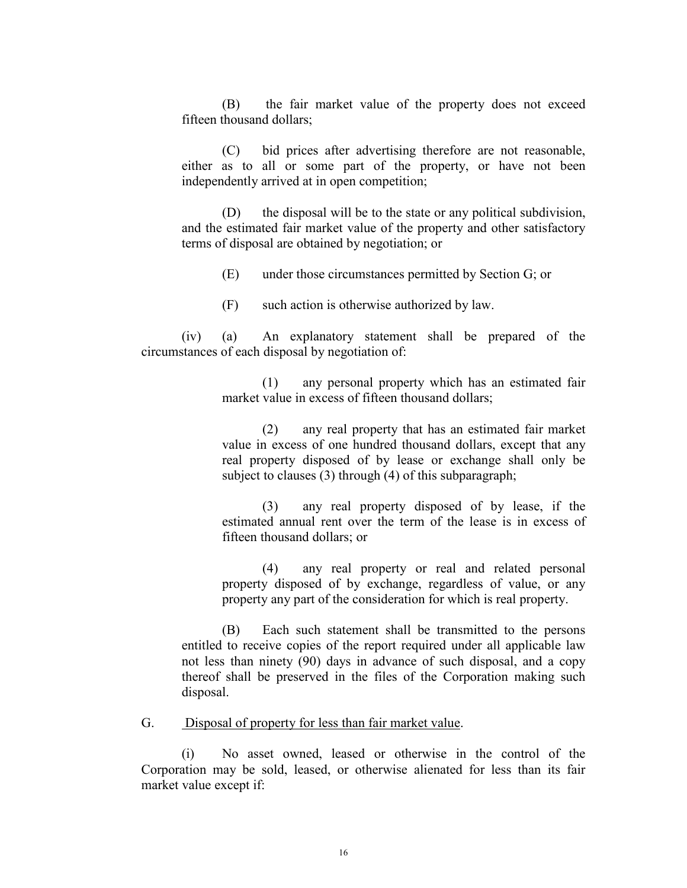(B) the fair market value of the property does not exceed fifteen thousand dollars;

(C) bid prices after advertising therefore are not reasonable, either as to all or some part of the property, or have not been independently arrived at in open competition;

(D) the disposal will be to the state or any political subdivision, and the estimated fair market value of the property and other satisfactory terms of disposal are obtained by negotiation; or

(E) under those circumstances permitted by Section G; or

(F) such action is otherwise authorized by law.

(iv) (a) An explanatory statement shall be prepared of the circumstances of each disposal by negotiation of:

> (1) any personal property which has an estimated fair market value in excess of fifteen thousand dollars;

> (2) any real property that has an estimated fair market value in excess of one hundred thousand dollars, except that any real property disposed of by lease or exchange shall only be subject to clauses (3) through (4) of this subparagraph;

> (3) any real property disposed of by lease, if the estimated annual rent over the term of the lease is in excess of fifteen thousand dollars; or

> (4) any real property or real and related personal property disposed of by exchange, regardless of value, or any property any part of the consideration for which is real property.

(B) Each such statement shall be transmitted to the persons entitled to receive copies of the report required under all applicable law not less than ninety (90) days in advance of such disposal, and a copy thereof shall be preserved in the files of the Corporation making such disposal.

G. Disposal of property for less than fair market value.

(i) No asset owned, leased or otherwise in the control of the Corporation may be sold, leased, or otherwise alienated for less than its fair market value except if: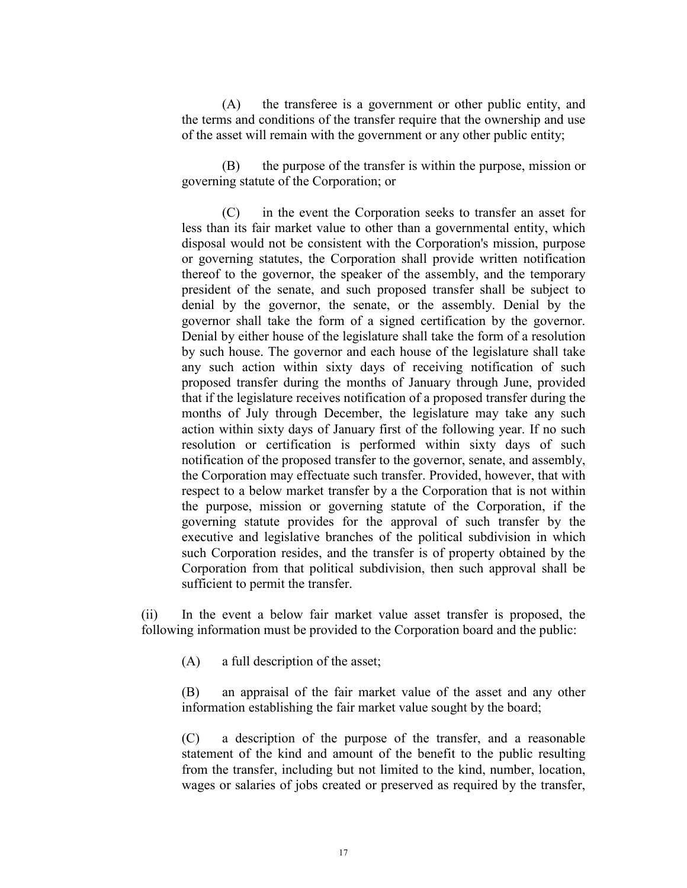(A) the transferee is a government or other public entity, and the terms and conditions of the transfer require that the ownership and use of the asset will remain with the government or any other public entity;

(B) the purpose of the transfer is within the purpose, mission or governing statute of the Corporation; or

(C) in the event the Corporation seeks to transfer an asset for less than its fair market value to other than a governmental entity, which disposal would not be consistent with the Corporation's mission, purpose or governing statutes, the Corporation shall provide written notification thereof to the governor, the speaker of the assembly, and the temporary president of the senate, and such proposed transfer shall be subject to denial by the governor, the senate, or the assembly. Denial by the governor shall take the form of a signed certification by the governor. Denial by either house of the legislature shall take the form of a resolution by such house. The governor and each house of the legislature shall take any such action within sixty days of receiving notification of such proposed transfer during the months of January through June, provided that if the legislature receives notification of a proposed transfer during the months of July through December, the legislature may take any such action within sixty days of January first of the following year. If no such resolution or certification is performed within sixty days of such notification of the proposed transfer to the governor, senate, and assembly, the Corporation may effectuate such transfer. Provided, however, that with respect to a below market transfer by a the Corporation that is not within the purpose, mission or governing statute of the Corporation, if the governing statute provides for the approval of such transfer by the executive and legislative branches of the political subdivision in which such Corporation resides, and the transfer is of property obtained by the Corporation from that political subdivision, then such approval shall be sufficient to permit the transfer.

(ii) In the event a below fair market value asset transfer is proposed, the following information must be provided to the Corporation board and the public:

(A) a full description of the asset;

(B) an appraisal of the fair market value of the asset and any other information establishing the fair market value sought by the board;

(C) a description of the purpose of the transfer, and a reasonable statement of the kind and amount of the benefit to the public resulting from the transfer, including but not limited to the kind, number, location, wages or salaries of jobs created or preserved as required by the transfer,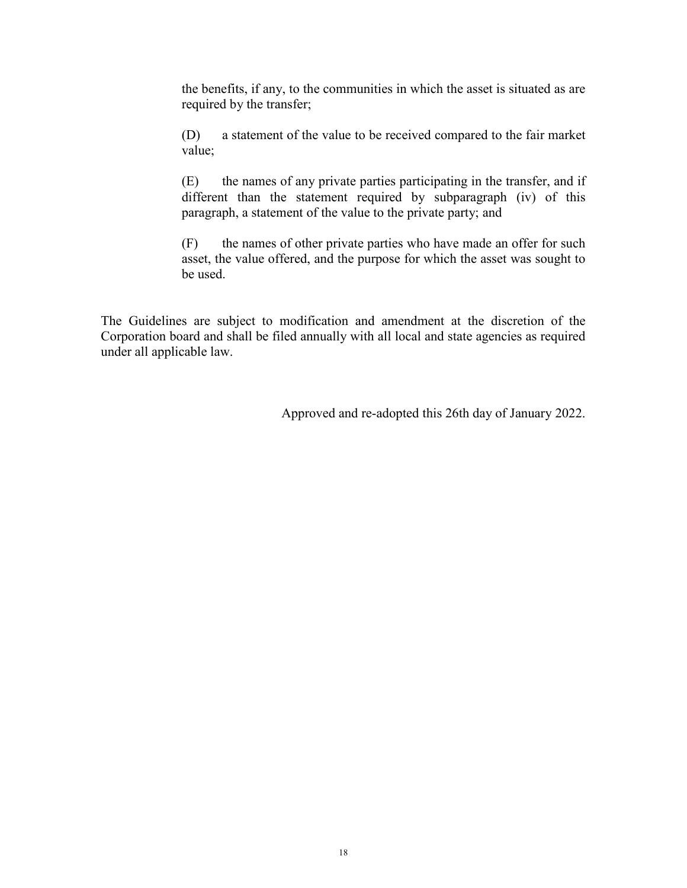the benefits, if any, to the communities in which the asset is situated as are required by the transfer;

(D) a statement of the value to be received compared to the fair market value;

(E) the names of any private parties participating in the transfer, and if different than the statement required by subparagraph (iv) of this paragraph, a statement of the value to the private party; and

(F) the names of other private parties who have made an offer for such asset, the value offered, and the purpose for which the asset was sought to be used.

The Guidelines are subject to modification and amendment at the discretion of the Corporation board and shall be filed annually with all local and state agencies as required under all applicable law.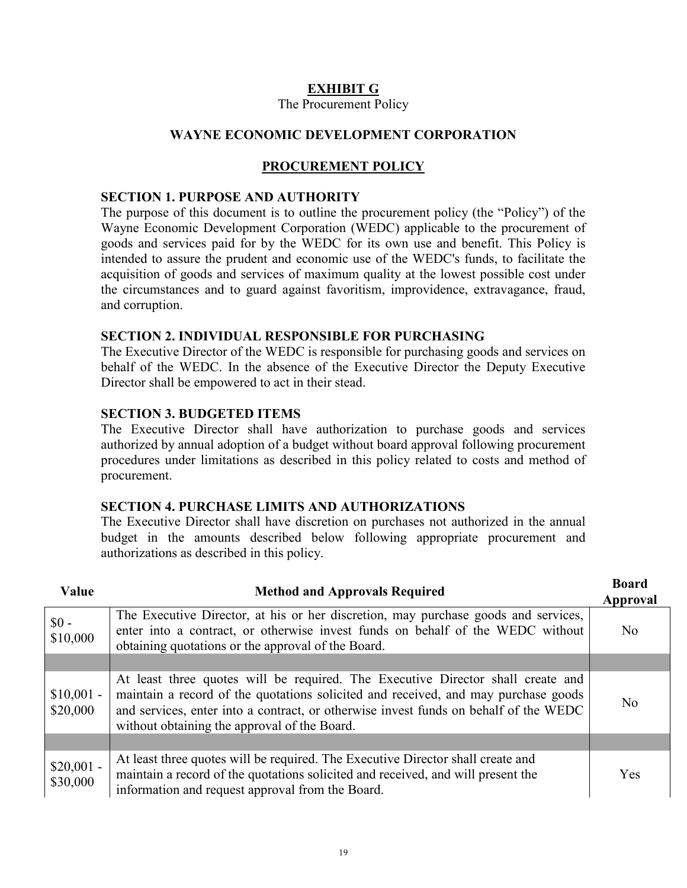# **EXHIBIT G**

#### The Procurement Policy

## **WAYNE ECONOMIC DEVELOPMENT CORPORATION**

## **PROCUREMENT POLICY**

#### **SECTION 1. PURPOSE AND AUTHORITY**

The purpose of this document is to outline the procurement policy (the "Policy") of the Wayne Economic Development Corporation (WEDC) applicable to the procurement of goods and services paid for by the WEDC for its own use and benefit. This Policy is intended to assure the prudent and economic use of the WEDC's funds, to facilitate the acquisition of goods and services of maximum quality at the lowest possible cost under the circumstances and to guard against favoritism, improvidence, extravagance, fraud, and corruption.

## **SECTION 2. INDIVIDUAL RESPONSIBLE FOR PURCHASING**

The Executive Director of the WEDC is responsible for purchasing goods and services on behalf of the WEDC. In the absence of the Executive Director the Deputy Executive Director shall be empowered to act in their stead.

## **SECTION 3. BUDGETED ITEMS**

The Executive Director shall have authorization to purchase goods and services authorized by annual adoption of a budget without board approval following procurement procedures under limitations as described in this policy related to costs and method of procurement.

### **SECTION 4. PURCHASE LIMITS AND AUTHORIZATIONS**

The Executive Director shall have discretion on purchases not authorized in the annual budget in the amounts described below following appropriate procurement and authorizations as described in this policy.

| Value                   | <b>Method and Approvals Required</b>                                                                                                                                                                                                                                                                          | <b>Board</b><br>Approval |
|-------------------------|---------------------------------------------------------------------------------------------------------------------------------------------------------------------------------------------------------------------------------------------------------------------------------------------------------------|--------------------------|
| $$0 -$<br>\$10,000      | The Executive Director, at his or her discretion, may purchase goods and services,<br>enter into a contract, or otherwise invest funds on behalf of the WEDC without<br>obtaining quotations or the approval of the Board.                                                                                    | N <sub>0</sub>           |
|                         |                                                                                                                                                                                                                                                                                                               |                          |
| $$10,001 -$<br>\$20,000 | At least three quotes will be required. The Executive Director shall create and<br>maintain a record of the quotations solicited and received, and may purchase goods<br>and services, enter into a contract, or otherwise invest funds on behalf of the WEDC<br>without obtaining the approval of the Board. | N <sub>0</sub>           |
|                         |                                                                                                                                                                                                                                                                                                               |                          |
| $$20,001 -$<br>\$30,000 | At least three quotes will be required. The Executive Director shall create and<br>maintain a record of the quotations solicited and received, and will present the<br>information and request approval from the Board.                                                                                       | <b>Yes</b>               |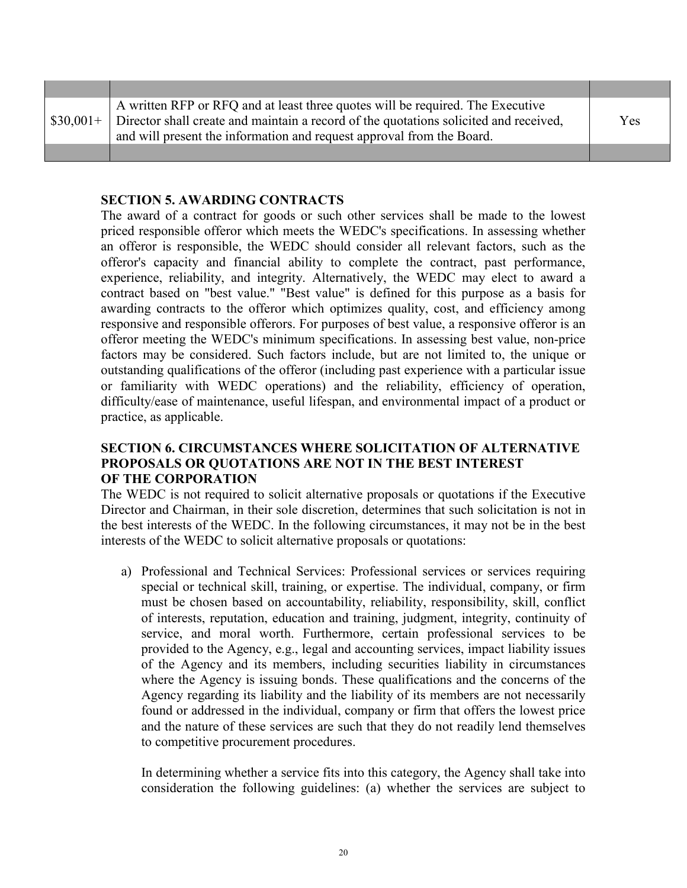| A written RFP or RFQ and at least three quotes will be required. The Executive                   |     |
|--------------------------------------------------------------------------------------------------|-----|
| $$30,001+$ Director shall create and maintain a record of the quotations solicited and received, | Yes |
| and will present the information and request approval from the Board.                            |     |
|                                                                                                  |     |

## **SECTION 5. AWARDING CONTRACTS**

The award of a contract for goods or such other services shall be made to the lowest priced responsible offeror which meets the WEDC's specifications. In assessing whether an offeror is responsible, the WEDC should consider all relevant factors, such as the offeror's capacity and financial ability to complete the contract, past performance, experience, reliability, and integrity. Alternatively, the WEDC may elect to award a contract based on "best value." "Best value" is defined for this purpose as a basis for awarding contracts to the offeror which optimizes quality, cost, and efficiency among responsive and responsible offerors. For purposes of best value, a responsive offeror is an offeror meeting the WEDC's minimum specifications. In assessing best value, non-price factors may be considered. Such factors include, but are not limited to, the unique or outstanding qualifications of the offeror (including past experience with a particular issue or familiarity with WEDC operations) and the reliability, efficiency of operation, difficulty/ease of maintenance, useful lifespan, and environmental impact of a product or practice, as applicable.

## **SECTION 6. CIRCUMSTANCES WHERE SOLICITATION OF ALTERNATIVE PROPOSALS OR QUOTATIONS ARE NOT IN THE BEST INTEREST OF THE CORPORATION**

The WEDC is not required to solicit alternative proposals or quotations if the Executive Director and Chairman, in their sole discretion, determines that such solicitation is not in the best interests of the WEDC. In the following circumstances, it may not be in the best interests of the WEDC to solicit alternative proposals or quotations:

a) Professional and Technical Services: Professional services or services requiring special or technical skill, training, or expertise. The individual, company, or firm must be chosen based on accountability, reliability, responsibility, skill, conflict of interests, reputation, education and training, judgment, integrity, continuity of service, and moral worth. Furthermore, certain professional services to be provided to the Agency, e.g., legal and accounting services, impact liability issues of the Agency and its members, including securities liability in circumstances where the Agency is issuing bonds. These qualifications and the concerns of the Agency regarding its liability and the liability of its members are not necessarily found or addressed in the individual, company or firm that offers the lowest price and the nature of these services are such that they do not readily lend themselves to competitive procurement procedures.

In determining whether a service fits into this category, the Agency shall take into consideration the following guidelines: (a) whether the services are subject to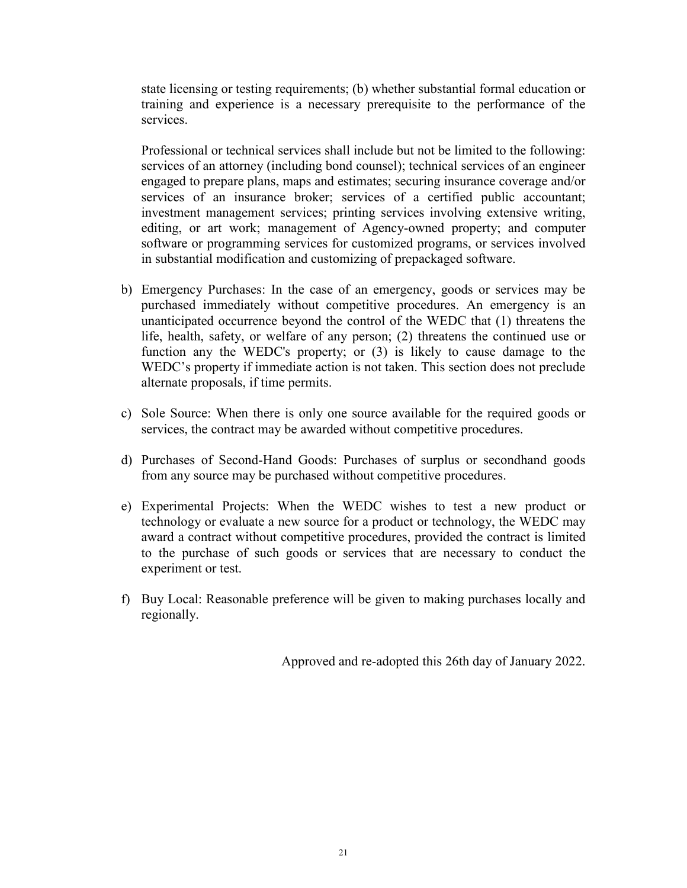state licensing or testing requirements; (b) whether substantial formal education or training and experience is a necessary prerequisite to the performance of the services.

Professional or technical services shall include but not be limited to the following: services of an attorney (including bond counsel); technical services of an engineer engaged to prepare plans, maps and estimates; securing insurance coverage and/or services of an insurance broker; services of a certified public accountant; investment management services; printing services involving extensive writing, editing, or art work; management of Agency-owned property; and computer software or programming services for customized programs, or services involved in substantial modification and customizing of prepackaged software.

- b) Emergency Purchases: In the case of an emergency, goods or services may be purchased immediately without competitive procedures. An emergency is an unanticipated occurrence beyond the control of the WEDC that (1) threatens the life, health, safety, or welfare of any person; (2) threatens the continued use or function any the WEDC's property; or (3) is likely to cause damage to the WEDC's property if immediate action is not taken. This section does not preclude alternate proposals, if time permits.
- c) Sole Source: When there is only one source available for the required goods or services, the contract may be awarded without competitive procedures.
- d) Purchases of Second-Hand Goods: Purchases of surplus or secondhand goods from any source may be purchased without competitive procedures.
- e) Experimental Projects: When the WEDC wishes to test a new product or technology or evaluate a new source for a product or technology, the WEDC may award a contract without competitive procedures, provided the contract is limited to the purchase of such goods or services that are necessary to conduct the experiment or test.
- f) Buy Local: Reasonable preference will be given to making purchases locally and regionally.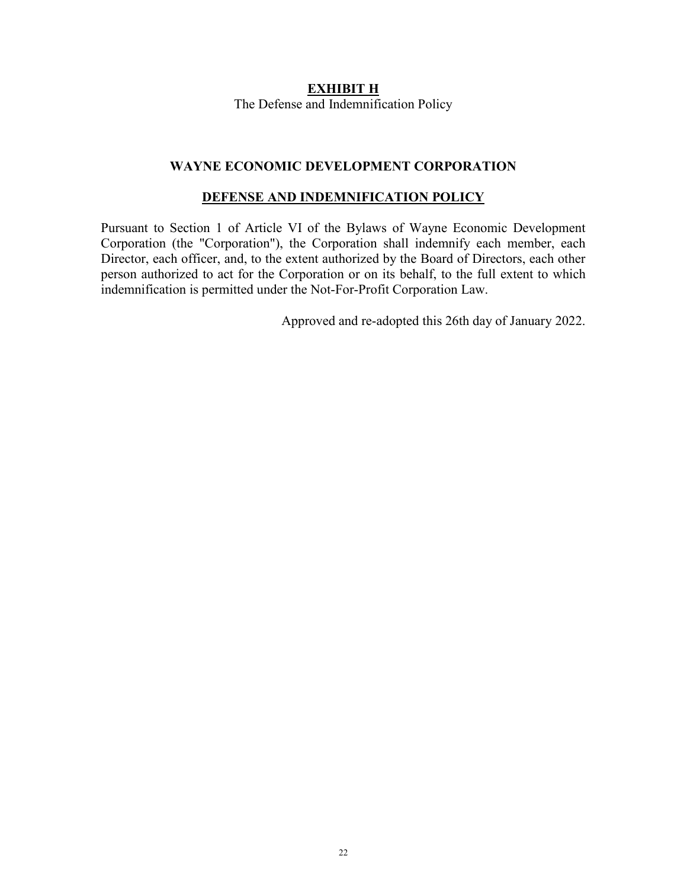## **EXHIBIT H** The Defense and Indemnification Policy

## **WAYNE ECONOMIC DEVELOPMENT CORPORATION**

## **DEFENSE AND INDEMNIFICATION POLICY**

Pursuant to Section 1 of Article VI of the Bylaws of Wayne Economic Development Corporation (the "Corporation"), the Corporation shall indemnify each member, each Director, each officer, and, to the extent authorized by the Board of Directors, each other person authorized to act for the Corporation or on its behalf, to the full extent to which indemnification is permitted under the Not-For-Profit Corporation Law.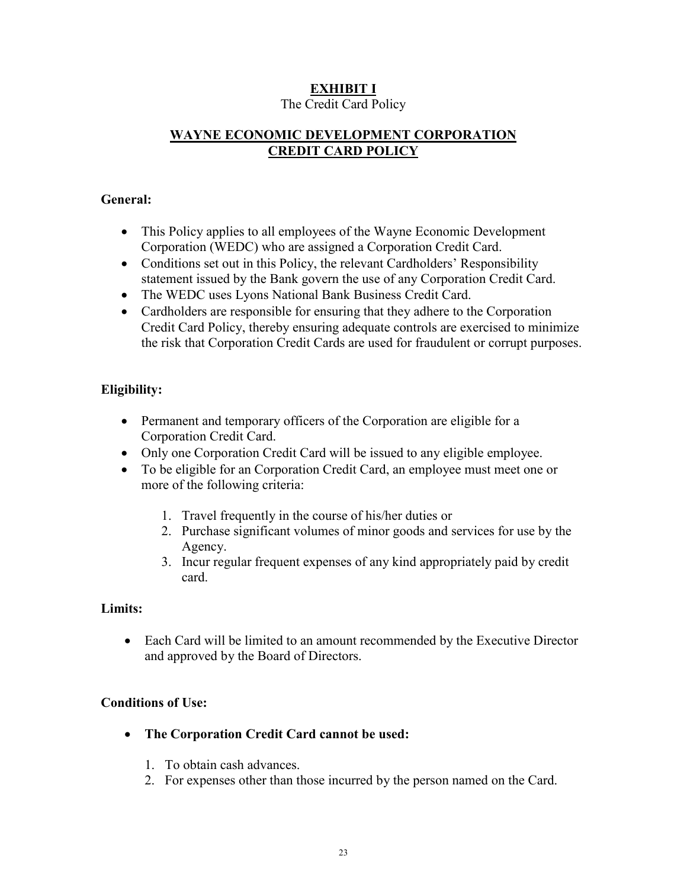# **EXHIBIT I**

# The Credit Card Policy

# **WAYNE ECONOMIC DEVELOPMENT CORPORATION CREDIT CARD POLICY**

# **General:**

- This Policy applies to all employees of the Wayne Economic Development Corporation (WEDC) who are assigned a Corporation Credit Card.
- Conditions set out in this Policy, the relevant Cardholders' Responsibility statement issued by the Bank govern the use of any Corporation Credit Card.
- The WEDC uses Lyons National Bank Business Credit Card.
- Cardholders are responsible for ensuring that they adhere to the Corporation Credit Card Policy, thereby ensuring adequate controls are exercised to minimize the risk that Corporation Credit Cards are used for fraudulent or corrupt purposes.

# **Eligibility:**

- Permanent and temporary officers of the Corporation are eligible for a Corporation Credit Card.
- Only one Corporation Credit Card will be issued to any eligible employee.
- To be eligible for an Corporation Credit Card, an employee must meet one or more of the following criteria:
	- 1. Travel frequently in the course of his/her duties or
	- 2. Purchase significant volumes of minor goods and services for use by the Agency.
	- 3. Incur regular frequent expenses of any kind appropriately paid by credit card.

# **Limits:**

• Each Card will be limited to an amount recommended by the Executive Director and approved by the Board of Directors.

# **Conditions of Use:**

- **The Corporation Credit Card cannot be used:**
	- 1. To obtain cash advances.
	- 2. For expenses other than those incurred by the person named on the Card.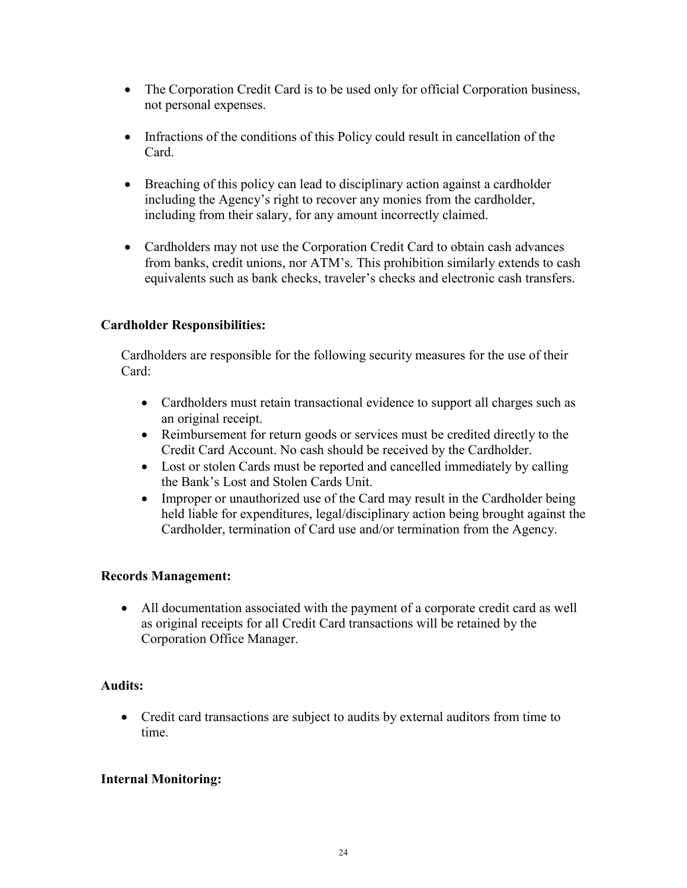- The Corporation Credit Card is to be used only for official Corporation business, not personal expenses.
- Infractions of the conditions of this Policy could result in cancellation of the Card.
- Breaching of this policy can lead to disciplinary action against a cardholder including the Agency's right to recover any monies from the cardholder, including from their salary, for any amount incorrectly claimed.
- Cardholders may not use the Corporation Credit Card to obtain cash advances from banks, credit unions, nor ATM's. This prohibition similarly extends to cash equivalents such as bank checks, traveler's checks and electronic cash transfers.

# **Cardholder Responsibilities:**

Cardholders are responsible for the following security measures for the use of their Card:

- Cardholders must retain transactional evidence to support all charges such as an original receipt.
- Reimbursement for return goods or services must be credited directly to the Credit Card Account. No cash should be received by the Cardholder.
- Lost or stolen Cards must be reported and cancelled immediately by calling the Bank's Lost and Stolen Cards Unit.
- Improper or unauthorized use of the Card may result in the Cardholder being held liable for expenditures, legal/disciplinary action being brought against the Cardholder, termination of Card use and/or termination from the Agency.

# **Records Management:**

• All documentation associated with the payment of a corporate credit card as well as original receipts for all Credit Card transactions will be retained by the Corporation Office Manager.

# **Audits:**

• Credit card transactions are subject to audits by external auditors from time to time.

# **Internal Monitoring:**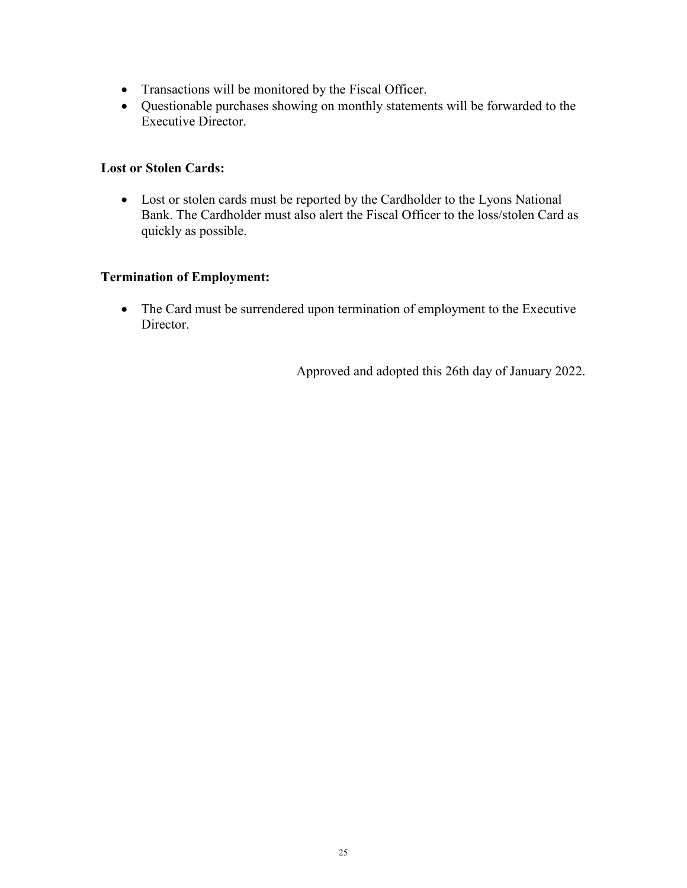- Transactions will be monitored by the Fiscal Officer.
- Questionable purchases showing on monthly statements will be forwarded to the Executive Director.

# **Lost or Stolen Cards:**

• Lost or stolen cards must be reported by the Cardholder to the Lyons National Bank. The Cardholder must also alert the Fiscal Officer to the loss/stolen Card as quickly as possible.

# **Termination of Employment:**

• The Card must be surrendered upon termination of employment to the Executive Director.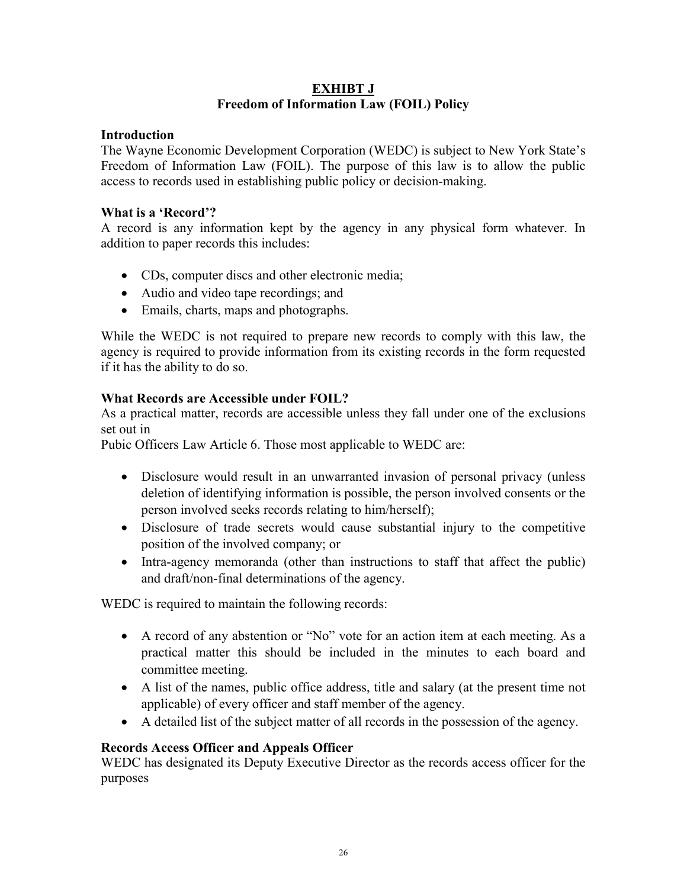# **EXHIBT J Freedom of Information Law (FOIL) Policy**

# **Introduction**

The Wayne Economic Development Corporation (WEDC) is subject to New York State's Freedom of Information Law (FOIL). The purpose of this law is to allow the public access to records used in establishing public policy or decision-making.

## **What is a 'Record'?**

A record is any information kept by the agency in any physical form whatever. In addition to paper records this includes:

- CDs, computer discs and other electronic media;
- Audio and video tape recordings; and
- Emails, charts, maps and photographs.

While the WEDC is not required to prepare new records to comply with this law, the agency is required to provide information from its existing records in the form requested if it has the ability to do so.

# **What Records are Accessible under FOIL?**

As a practical matter, records are accessible unless they fall under one of the exclusions set out in

Pubic Officers Law Article 6. Those most applicable to WEDC are:

- Disclosure would result in an unwarranted invasion of personal privacy (unless deletion of identifying information is possible, the person involved consents or the person involved seeks records relating to him/herself);
- Disclosure of trade secrets would cause substantial injury to the competitive position of the involved company; or
- Intra-agency memoranda (other than instructions to staff that affect the public) and draft/non-final determinations of the agency.

WEDC is required to maintain the following records:

- A record of any abstention or "No" vote for an action item at each meeting. As a practical matter this should be included in the minutes to each board and committee meeting.
- A list of the names, public office address, title and salary (at the present time not applicable) of every officer and staff member of the agency.
- A detailed list of the subject matter of all records in the possession of the agency.

# **Records Access Officer and Appeals Officer**

WEDC has designated its Deputy Executive Director as the records access officer for the purposes